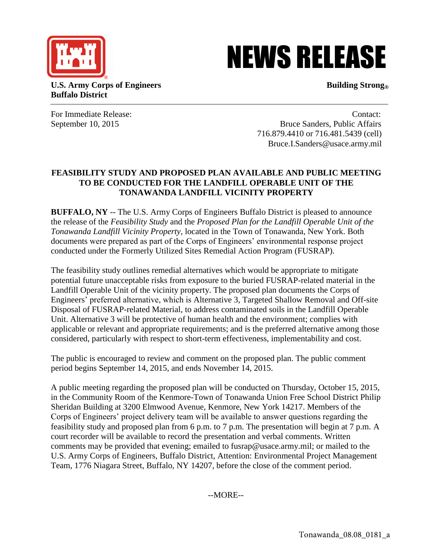

## NEWS RELEASE

**U.S. Army Corps of Engineers Building Strong® Buffalo District** 

For Immediate Release: Contact: Contact: Contact: Contact: Contact: Contact: Contact: Contact: Contact: Contact: Contact: Contact: Contact: Contact: Contact: Contact: Contact: Contact: Contact: Contact: Contact: Contact: C September 10, 2015 Bruce Sanders, Public Affairs 716.879.4410 or 716.481.5439 (cell) Bruce.I.Sanders@usace.army.mil

## **FEASIBILITY STUDY AND PROPOSED PLAN AVAILABLE AND PUBLIC MEETING TO BE CONDUCTED FOR THE LANDFILL OPERABLE UNIT OF THE TONAWANDA LANDFILL VICINITY PROPERTY**

**BUFFALO, NY** -- The U.S. Army Corps of Engineers Buffalo District is pleased to announce the release of the *Feasibility Study* and the *Proposed Plan for the Landfill Operable Unit of the Tonawanda Landfill Vicinity Property*, located in the Town of Tonawanda, New York. Both documents were prepared as part of the Corps of Engineers' environmental response project conducted under the Formerly Utilized Sites Remedial Action Program (FUSRAP).

The feasibility study outlines remedial alternatives which would be appropriate to mitigate potential future unacceptable risks from exposure to the buried FUSRAP-related material in the Landfill Operable Unit of the vicinity property. The proposed plan documents the Corps of Engineers' preferred alternative, which is Alternative 3, Targeted Shallow Removal and Off-site Disposal of FUSRAP-related Material, to address contaminated soils in the Landfill Operable Unit. Alternative 3 will be protective of human health and the environment; complies with applicable or relevant and appropriate requirements; and is the preferred alternative among those considered, particularly with respect to short-term effectiveness, implementability and cost.

The public is encouraged to review and comment on the proposed plan. The public comment period begins September 14, 2015, and ends November 14, 2015.

A public meeting regarding the proposed plan will be conducted on Thursday, October 15, 2015, in the Community Room of the Kenmore-Town of Tonawanda Union Free School District Philip Sheridan Building at 3200 Elmwood Avenue, Kenmore, New York 14217. Members of the Corps of Engineers' project delivery team will be available to answer questions regarding the feasibility study and proposed plan from 6 p.m. to 7 p.m. The presentation will begin at 7 p.m. A court recorder will be available to record the presentation and verbal comments. Written comments may be provided that evening; emailed to fusrap@usace.army.mil; or mailed to the U.S. Army Corps of Engineers, Buffalo District, Attention: Environmental Project Management Team, 1776 Niagara Street, Buffalo, NY 14207, before the close of the comment period.

--MORE--